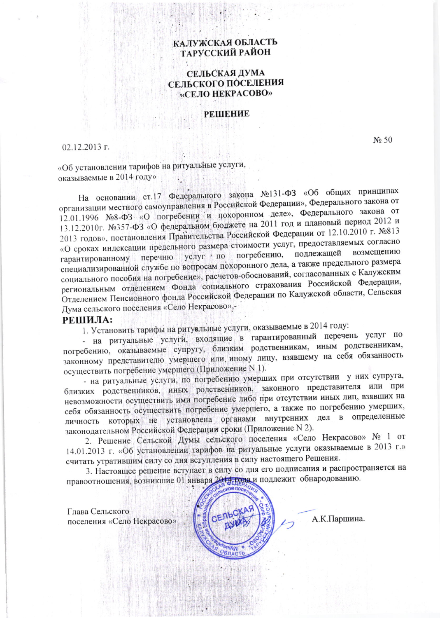# КАЛУЖСКАЯ ОБЛАСТЬ ТАРУССКИЙ РАЙОН

## СЕЛЬСКАЯ ДУМА СЕЛЬСКОГО ПОСЕЛЕНИЯ «СЕЛО НЕКРАСОВО»

## РЕШЕНИЕ

### $02.12.2013$  r.

 $N_2$  50

«Об установлении тарифов на ритуальные услуги, оказываемые в 2014 году»

На основании ст.17 Федерального закона №131-ФЗ «Об общих принципах организации местного самоуправления в Российской Федерации», Федерального закона от 12.01.1996 №8-ФЗ «О погребении и похоронном деле», Федерального закона от 13.12.2010г. №357-ФЗ «О федеральном бюджете на 2011 год и плановый период 2012 и 2013 годов», постановления Правительства Российской Федерации от 12.10.2010 г. №813 «О сроках индексации предельного размера стоимости услуг, предоставляемых согласно возмещению услуг · по погребению, подлежащей гарантированному перечню специализированной службе по вопросам похоронного дела, а также предельного размера социального пособия на погребение», расчетов-обоснований, согласованных с Калужским региональным отделением Фонда социального страхования Российской Федерации, Отделением Пенсионного фонда Российской Федерации по Калужской области, Сельская Дума сельского поселения «Село Некрасово»,-

### РЕШИЛА:

1. Установить тарифы на ритуальные услуги, оказываемые в 2014 году:

- на ритуальные услуги, входящие в гарантированный перечень услуг по погребению, оказываемые супругу, близким родственникам, иным родственникам, законному представителю умершего или иному лицу, взявшему на себя обязанность осуществить погребение умершего (Приложение N 1).

- на ритуальные услуги, по погребению умерших при отсутствии у них супруга, близких родственников, иных родственников, законного представителя или при невозможности осуществить ими погребение либо при отсутствии иных лиц, взявших на себя обязанность осуществить погребение умершего, а также по погребению умерших, личность которых не установлена органами внутренних дел в определенные законодательном Российской Федерации сроки (Приложение N 2).

2. Решение Сельской Думы сельского поселения «Село Некрасово» № 1 от 14.01.2013 г. «Об установлении тарифов на ритуальные услуги оказываемые в 2013 г.» считать утратившим силу со дня вступления в силу настоящего Решения.

3. Настоящее решение вступает в силу со дня его подписания и распространяется на правоотношения, возникшие 01 января 2014 года и подлежит обнародованию.

Глава Сельского поселения «Село Некрасово»

А.К.Паршина.